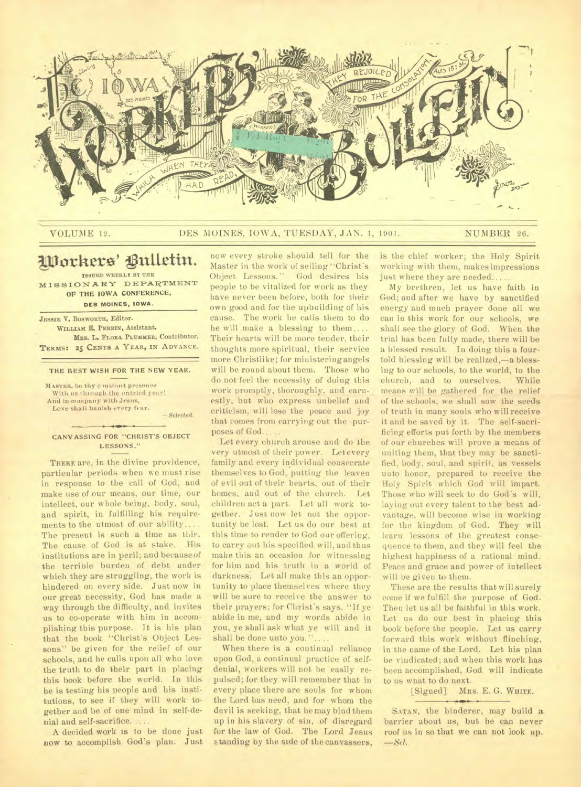

## VOLUME 12. DES MOINES, IOWA, TUESDAY, JAN. 1, 1901. NUMBER 26.

# **glorttere' Vultetin.**

**ISSUED WEEKLY BY THE MISSION ARY DEPARTMENT OP THE IOWA CONFERENCE,** 

**DES MOINES. IOWA.** 

**JESSIE V. BOSWORTH, Editor. WILLIAM E. PERRIN, Assistant.**  MRS. L. FLORA PLUMMER, Contributor. **TERMS: 25 CENTS A YEAR, IN ADVANCE.** 

## **THE BEST WISH FOR THE NEW YEAR.**

**MASTER,** be thy c instant presence With us through the untried year! And in company with Jesus, Love shall banish every fear. *— Selected.* 

### **CANVASSING FOR "CHRIST'S OBJECT LESSONS."**

THERE are, in the divine providence, particular periods when we must rise in response to the call of God, and make use of our means, our time, our intellect, our whole being, body, soul, and spirit, in fulfilling his requirements to the utmost of our ability. The present is such a time as this. The cause of God is at stake. His institutions are in peril; and because of the terrible burden of debt under which they are struggling, the work is hindered on every side. Just now in our great necessity, God has made a way through the difficulty, and invites us to co-operate with him in accomplishing this purpose. It is his plan that the book "Christ's Object Lessons" be given for the relief of our schools, and he calls upon all who love the truth to do their part in placing this book before the world. In this he is testing his people and his institutions, to see if they will work together and be of one mind in self-denial and self-sacrifice. ..

A decided work is to be done just now to accomplish God's plan. Just

now every stroke should tell for the Master in the work of selling "Christ's Object Lessons." God desires his people to be vitalized for work as they have never been before, both for their own good and for the upbuilding of his cause. The work he calls them to do he will make a blessing to them.... Their hearts will be more tender, their thoughts more spiritual, their service more Christlike; for ministering angels will be round about them. Those who do not feel the necessity of doing this work promptly, thoroughly, and earnestly, but who express unbelief and criticism, will lose the peace and joy that comes from carrying out the purposes of God...

Let every church arouse and do the very utmost of their power. Let every family and every individual consecrate themselves to God, putting the leaven of evil out of their hearts, out of their homes, and out of the church. Let children act a part. Let all work together. Just now let not the opportunity be lost. Let us do our best at this time to render to God our offering, to carry out his specified will, and thus make this an occasion for witnessing for him and his truth in a world of darkness. Let all make this an opportunity to place themselves where they will be sure to receive the answer to their prayers; for Christ's says, "If ye abide in me, and my words abide in you, ye shall ask what ye will and it shall be done unto you."

When there is a continual reliance upon God, a continual practice of selfdenial, workers will not be easily repulsed; for they will remember that in every place there are souls for whom the Lord has need, and for whom the devil is seeking, that he may bind them up in his slavery of sin, of disregard for the law of God. The Lord Jesus standing by the side of the canvassers,

is the chief worker; the Holy Spirit working with them, makes impressions just where they are needed...

My brethren, let us have faith in God; and after we have by sanctified energy and much prayer done all we can in this work for our schools, we shall see the glory of God. When the trial has been fully made, there will be a blessed result. In doing this a fourfold blessing will be realized,—a blessing to our schools, to the world, to the church, and to ourselves. While means will be gathered for the relief of the schools, we shall sow the seeds of truth in many souls who will receive it and be saved by it. The self-sacrificing efforts put forth by the members of our churches will prove a means of uniting them, that they may be sanctified, body, soul, and spirit, as vessels unto honor, prepared to receive the Holy Spirit which God will impart. Those who will seek to do God's will, laying out every talent to the best advantage, will become wise in working for the kingdom of God. They will learn lessons of the greatest consequence to them, and they will feel the highest happiness of a rational mind. Peace and grace and power of intellect will be given to them.

These are the results that will surely come if we fulfill the purpose of God. Then let us all be faithful in this work. Let us do our best in placing this book before the people. Let us carry forward this work without flinching, in the name of the Lord. Let his plan be vindicated; and when this work has been accomplished, God will indicate to us what to do next.<br>[Signed] MR

MRS. E. G. WHITE.

**SATAN,** the hinderer, may build a barrier about us, but he can never roof us in so that we can not look up. *--Sel.* 

 $\rightarrow$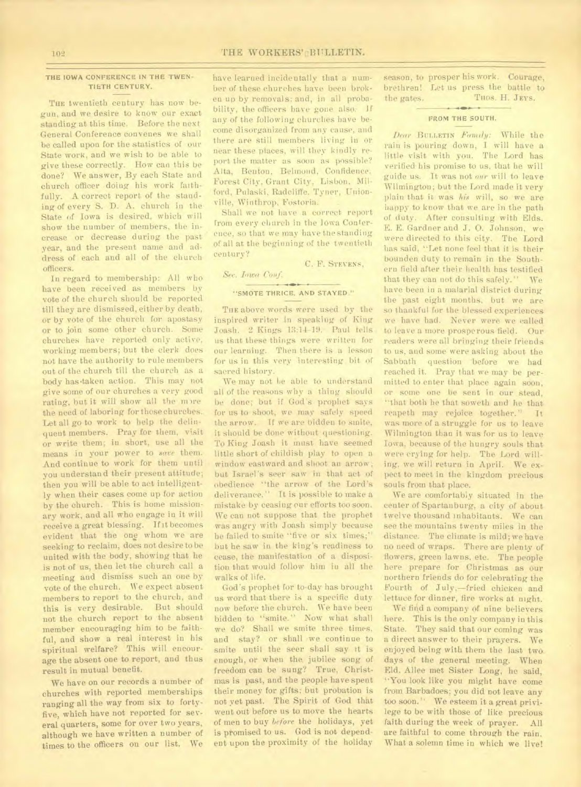## THE IOWA CONFERENCE **IN THE TWEN-TIETH CENTURY.**

THE twentieth century has now begun, and we desire to know our exact standing at this time. Before the next General Conference convenes we shall be called upon for the statistics of our State work, and we wish to be able to give these correctly. How can this be done? We answer, By each State and church officer doing his work faithfully. A correct report of the standing of every S. D. A. church in the State of Iowa is desired, which will show the number of members, the increase or decrease during the past year, and the present name and address of each and all of the church officers.

In regard to membership: All who have been received as members by vote of the church should be reported till they are dismissed, either by death, or by vote of the church for apostasy or to join some other church. Some churches have reported only active, working members; but the clerk does not have the authority to rule members out of the church till the church as a body has•taken action. This may not give some of our churches a very good rating, but it will show all the more the need of laboring for those churches. Let all go to work to help the delinquent members. Pray for them, visit or write them; in short, use all the means in your power to save them. And continue to work for them until you understand their present attitude; then you will be able to act intelligently when their cases come up for action by the church. This is home missionary work, and all who engage in it will receive a great blessing. If it becomes evident that the one whom we are seeking to reclaim, does not desire to be united with the body, showing that he is not of us, then let the church call a meeting and dismiss such an one by vote of the church. We expect absent members to report to the church, and this is very desirable. But should not the church report to the absent member encouraging him to be faithful, and show a real interest in his spiritual welfare? This will encourage the absent one to report, and thus result in mutual benefit.

We have on our records a number of churches with reported memberships ranging all the way from six to fortyfive, which have not reported for several quarters, some for over two years, although we have written a number of times to the officers on our list. We

have learned incidentally that a number of these churches have been broken up by removals; and, in all probability, the officers have gone also. If any of the following churches have become disorganized from any cause, and there are still members living in or near these places, will they kindly report the matter as soon as possible? Alta, Benton, Behnond, Confidence, Forest City, Grant City, Lisbon. Milford, Pulaski, Radcliffe, Tyner, Unionville, Winthrop, Fostoria.

Shall we not have a correct report from every church in the Iowa Conference, so that we may have the standing of all at the beginning of the twentieth century?

C. F. STEVENS,

## **"SMOTE THRICE, AND STAYED."**

Sec. Iowa Conf.

THE above words were used by the inspired writer in speaking of King Joash. 2 Kings 13:14-19. Paul tells us that these things were written for our learning. Then there is a lesson for us in this very interesting bit of sacred history.

We may not be able to understand all of the reasons why a thing should be done; but if God's prophet says for us to shoot, we may safely speed the arrow. If we are bidden to smite, it should be done without questioning. To King Joash it must have seemed little short of childish play to open a window eastward and shoot an arrow ; but Israel's seer saw in that act of obedience "the arrow of the Lord's deliverance." It is possible to make a mistake by ceasing *our* efforts too soon. We can not suppose that the prophet was angry with Joash simply because he failed to smite "five or six times;" but he saw in the king's readiness to cease, the manifestation of a disposition that would follow him iu all the walks of life.

God's prophet for to-day has brought us word that there is a specific duty now before the church. We have been bidden to "smite." Now what shall we do? Shall we smite three times, and stay? or shall we continue to smite until the seer shall say it is enough, or when the jubilee song of freedom can be sung? True, Christmas is past, and the people have spent their money for gifts; but probation is not yet past. The Spirit of God that went out before us to move the hearts of men to buy before the holidays, yet is promised to us. God is not dependent upon the proximity of the holiday

season, to prosper his work. Courage, brethren! Let us press the battle to<br>the gates. Tuos. H. JEYS. THOS. H. JEYS.

#### **FROM THE SOUTH.**

**hear BULLETIN** *Faintly:* While the rain is pouring down, I will have a little visit with you. The Lord has verified his promise to us, that he will guide us. It was not *our* will to leave Wilmington; but the Lord made it very plain that it was *Ms* will, so we are happy to know that we are in the path of duty. After consulting with Elds. E. E. Gardner and J. 0. Johnson, we were directed to this city. The Lord has said, "Let none feel that it is their bounden duty to remain in the Southern field after their health has testified that they can not do this safely." We have been in a malarial district during the past eight months, but we are so thankful for the blessed experiences we have had. Never were we called to leave a more prosperous field. Our readers were all bringing their friends to us, and some were asking about the Sabbath question before we had reached it. Pray that we may be permitted to enter that place again soon, or some one be sent in our stead, `'that both he that soweth and he that reapeth may rejoice together." It was more of a struggle for us to leave Wilmington than it was for us to leave Iowa, because of the hungry souls that were crying for help. The Lord willing, *we* will return in April. We expect to meet in the kingdom precious souls from that place.

We are comfortably situated in the center of Spartanburg, a city of about twelve thousand inhabitants. We can see the mountains twenty miles in the distance. The climate is mild; we have no need of wraps. There are plenty of flowers, green lawns, etc. The people here prepare for Christmas as our northern friends do for celebrating the Fourth of July,—fried chicken and lettuce for dinner, fire works at night.

We find a company of nine believers here. This is the only company in this State. They said that our coming was a direct answer to their prayers. We enjoyed being with them the last two days of the general meeting. When Eld. Allee met Sister Long, he said, "You look like you might have come from Barbadoes; you did not leave any too soon." We esteem it a great privilege to be with those of like precious faith during the week of prayer. All are faithful to come through the rain. What a solemn time in which we live!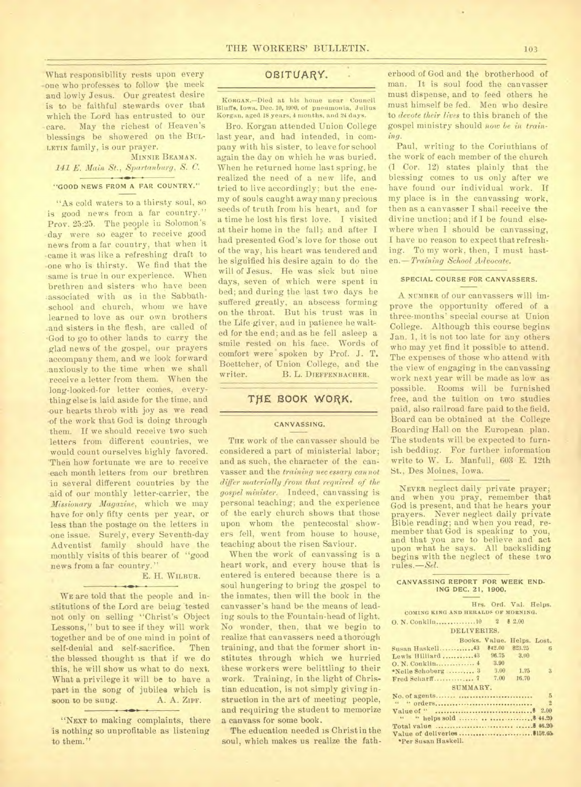What responsibility rests upon every one who professes to follow the meek and lowly Jesus. Our greatest desire is to be faithful stewards over that which the Lord has entrusted to our •care. May the richest of Heaven's blessings be showered on the BUL-LETIN family, is our prayer.

## MINNIE BEAMAN. *141 E. Main St., Spartanburg, S. C.*  "GOOD NEWS FROM A FAR COUNTRY."

"As cold waters to a thirsty soul, so is good news from a far country." Prov. 25:25. The people in Solomon's •day were so eager to receive good news from a far country, that when it -came it was like a refreshing draft to -one who is thirsty. We find that the same is true in our experience. When brethren and sisters who have been :associated with us in the Sabbathschool and church, whom we have learned to love as our own brothers and sisters in the flesh, are called of <God to go to other lands to carry the glad news of the gospel, our prayers accompany them, and we look forward anxiously to the time when we shall receive a letter from them. When the long-looked-for letter comes, everything else is laid aside for the time, and our hearts throb with joy as we read -of the work that God is doing through them. If we should receive two such letters from different countries, we would count ourselves highly favored. Then how fortunate we are to receive each month letters from our brethren in several different countries by the .aid of our monthly letter-carrier, the *Missionary Magazine,* which we may have for only fifty cents per year, or less than the postage on the letters in -one issue. Surely, every Seventh-day Adventist family should have the monthly visits of this bearer of "good news from a far country."

## E. H. WILBUR.

WE are told that the people and institutions of the Lord are being tested not only on selling "Christ's Object Lessons," but to see if they will work -together and be of one mind in point of self-denial and self-sacrifice. Then the blessed thought is that if we do this, he will show us what to do next. What a privilege it will be to have a part in the song of jubilee which is soon to be sung. A. A. ZIPF.

"NEXT to making complaints, there is nothing so unprofitable as listening to them.'

## OBITUARY.

**KORGAN.—Died** at his home near Council Bluffs, Iowa. Dec. 10, 1900, of pneumonia, Julius Korgan. aged 18 years. 4 months, and 24 days.

Bro. Korgan attended Union College last year, and had intended, in company with his sister, to leave for school again the day on which he was buried. When he returned home last spring, he realized the need of a new life, and tried to live accordingly; but the enemy of souls caught away many precious seeds of truth from his heart, and for a time he lost his first love. I visited at their home in the fall, and after I had presented God's love for those out of the way, his heart was tendered and he signified his desire again to do the will of Jesus. He was sick but nine days, seven of which were spent in bed; and during the last two days he suffered greatly, an abscess forming on the throat. But his trust was in the Life giver, and in patience he waited for the end; and as he fell asleep a smile rested on his face. Words of comfort were spoken by Prof. J. T. Boettcher, of Union College, and the writer. B. L. DIEFFENBACHER.

## THE BOOK WORK.

#### CANVASSING.

THE work of the canvasser should be considered a part of ministerial labor; and as such, the character of the canvasser and the *training necessary cannot differ materially from that required of the gospel minister.* Indeed, canvassing is personal teaching; and the experience of the early church shows that those upon whom the pentecostal showers fell, went from house to house, teaching about the risen Saviour.

When the work of canvassing is a heart work, and every house that is entered is entered because there is a soul hungering to bring the gospel to the inmates, then will the book in the canvasser's hand be the means of leading souls to the Fountain-head of light. No wonder, then, that we begin to realize that canvassers need a thorough training, and that the former short institutes through which we hurried these workers were belittling to their work. Training, in the light of Christian education, is not simply giving instruction in the art of meeting people, and requiring the student to memorize a canvass for some book.

The education needed is Christin the soul, which makes us realize the fatherhood of God and the brotherhood of man. It is soul food the canvasser must dispense, and to feed others he must himself be fed. Men who desire to *devote their lives* to this branch of the gospel ministry should *now be in training.* 

Paul, writing to the Corinthians of the work of each member of the church (1 Cor. 12) states plainly that the blessing comes to us only after we have found our individual work. If my place is in the canvassing work, then as a canvasser I shall receive the divine unction; and if I be found elsewhere when I should be canvassing, I have no reason to expect that refreshing. To my work, then, I must hasten.— *Training School Advocate.* 

## SPECIAL COURSE FOR CANVASSERS.

A NUMBER of our canvassers will improve the opportunity offered of a three-months' special course at Union College. Although this course begins Jan. 1, it is not too late for any others who may yet find it possible to attend. The expenses of those who attend with the view of engaging in the canvassing work next year will be made as low as possible. Rooms will be furnished free, and the tuition on two studies paid, also railroad fare paid to the field. Board can be obtained at the College Boarding Hall on the European plan. The students will be expected to furnish bedding. For further information write to W. L. Manful], 603 E. 12th St., Des Moines, Iowa.

NEVER neglect daily private prayer; and when you pray, remember that God is present, and that he hears your prayers. Never neglect daily private Bible reading; and when you read, remember that God is speaking to you, and that you are to believe and act upon what he says. All backsliding begins with the neglect of these two rules.—Sel.

#### CANVASSING REPORT FOR WEEK END-ING DEC. 21, 1900.

Hrs. Ord. Val. Helps. **COMING KING AND RERALDS OF MORNING.** 

0. N. Conklin 10 2 8 2.00 DELIVERIES.

|                     |         | Books. Value. Helps. Lost. |                 |
|---------------------|---------|----------------------------|-----------------|
| Susan Haskell43     | \$42.00 | 823.25                     | 6               |
| Lewis Hilliard43    | 96.75   | 3.00                       |                 |
| $0. N.$ Conklin $4$ | 3.90    |                            |                 |
| *Nelle Schoberg  3  | 3.00    | 1.25                       | $\mathbf{3}$    |
|                     | 7.00    | 16.70                      |                 |
| SUMMARY.            |         |                            |                 |
|                     |         |                            | $5\overline{5}$ |
|                     |         |                            | $\sqrt{2}$      |
|                     |         |                            |                 |
|                     |         |                            |                 |
|                     |         |                            |                 |
|                     |         |                            |                 |
| *Per Susan Haskell. |         |                            |                 |